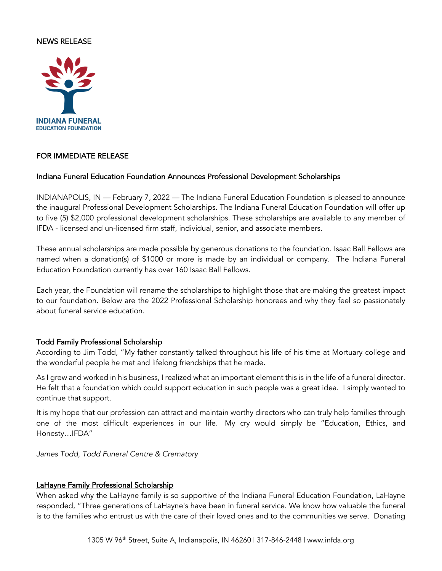## NEWS RELEASE



## FOR IMMEDIATE RELEASE

#### Indiana Funeral Education Foundation Announces Professional Development Scholarships

INDIANAPOLIS, IN — February 7, 2022 — The Indiana Funeral Education Foundation is pleased to announce the inaugural Professional Development Scholarships. The Indiana Funeral Education Foundation will offer up to five (5) \$2,000 professional development scholarships. These scholarships are available to any member of IFDA - licensed and un-licensed firm staff, individual, senior, and associate members.

These annual scholarships are made possible by generous donations to the foundation. Isaac Ball Fellows are named when a donation(s) of \$1000 or more is made by an individual or company. The Indiana Funeral Education Foundation currently has over 160 Isaac Ball Fellows.

Each year, the Foundation will rename the scholarships to highlight those that are making the greatest impact to our foundation. Below are the 2022 Professional Scholarship honorees and why they feel so passionately about funeral service education.

#### Todd Family Professional Scholarship

According to Jim Todd, "My father constantly talked throughout his life of his time at Mortuary college and the wonderful people he met and lifelong friendships that he made.

As I grew and worked in his business, I realized what an important element this is in the life of a funeral director. He felt that a foundation which could support education in such people was a great idea. I simply wanted to continue that support.

It is my hope that our profession can attract and maintain worthy directors who can truly help families through one of the most difficult experiences in our life. My cry would simply be "Education, Ethics, and Honesty…IFDA"

*James Todd, Todd Funeral Centre & Crematory*

#### LaHayne Family Professional Scholarship

When asked why the LaHayne family is so supportive of the Indiana Funeral Education Foundation, LaHayne responded, "Three generations of LaHayne's have been in funeral service. We know how valuable the funeral is to the families who entrust us with the care of their loved ones and to the communities we serve. Donating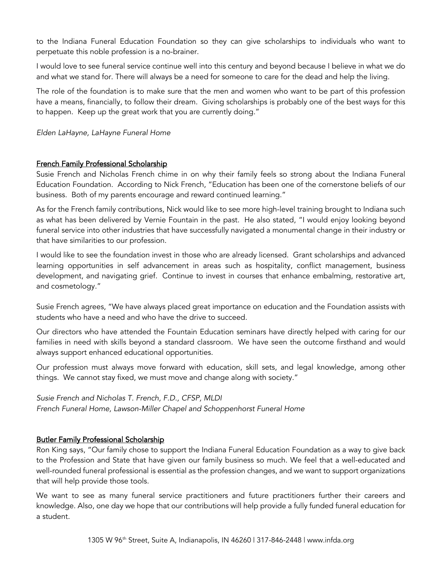to the Indiana Funeral Education Foundation so they can give scholarships to individuals who want to perpetuate this noble profession is a no-brainer.

I would love to see funeral service continue well into this century and beyond because I believe in what we do and what we stand for. There will always be a need for someone to care for the dead and help the living.

The role of the foundation is to make sure that the men and women who want to be part of this profession have a means, financially, to follow their dream. Giving scholarships is probably one of the best ways for this to happen. Keep up the great work that you are currently doing."

*Elden LaHayne, LaHayne Funeral Home*

# French Family Professional Scholarship

Susie French and Nicholas French chime in on why their family feels so strong about the Indiana Funeral Education Foundation. According to Nick French, "Education has been one of the cornerstone beliefs of our business. Both of my parents encourage and reward continued learning."

As for the French family contributions, Nick would like to see more high-level training brought to Indiana such as what has been delivered by Vernie Fountain in the past. He also stated, "I would enjoy looking beyond funeral service into other industries that have successfully navigated a monumental change in their industry or that have similarities to our profession.

I would like to see the foundation invest in those who are already licensed. Grant scholarships and advanced learning opportunities in self advancement in areas such as hospitality, conflict management, business development, and navigating grief. Continue to invest in courses that enhance embalming, restorative art, and cosmetology."

Susie French agrees, "We have always placed great importance on education and the Foundation assists with students who have a need and who have the drive to succeed.

Our directors who have attended the Fountain Education seminars have directly helped with caring for our families in need with skills beyond a standard classroom. We have seen the outcome firsthand and would always support enhanced educational opportunities.

Our profession must always move forward with education, skill sets, and legal knowledge, among other things. We cannot stay fixed, we must move and change along with society."

*Susie French and Nicholas T. French, F.D., CFSP, MLDI French Funeral Home, Lawson-Miller Chapel and Schoppenhorst Funeral Home*

## Butler Family Professional Scholarship

Ron King says, "Our family chose to support the Indiana Funeral Education Foundation as a way to give back to the Profession and State that have given our family business so much. We feel that a well-educated and well-rounded funeral professional is essential as the profession changes, and we want to support organizations that will help provide those tools.

We want to see as many funeral service practitioners and future practitioners further their careers and knowledge. Also, one day we hope that our contributions will help provide a fully funded funeral education for a student.